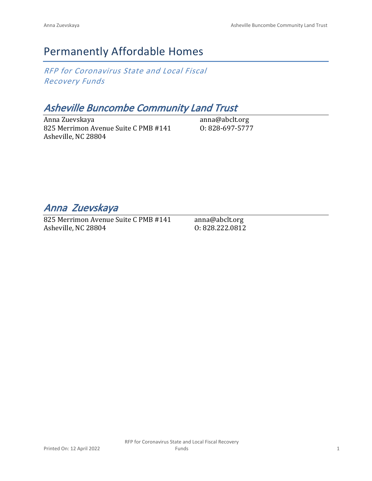## Permanently Affordable Homes

*RFP for Coronavirus State and Local Fiscal Recovery Funds*

## *Asheville Buncombe Community Land Trust*

Anna Zuevskaya 825 Merrimon Avenue Suite C PMB #141 Asheville, NC 28804

anna@abclt.org O: 828-697-5777

*Anna Zuevskaya* 

825 Merrimon Avenue Suite C PMB #141 Asheville, NC 28804

anna@abclt.org O: 828.222.0812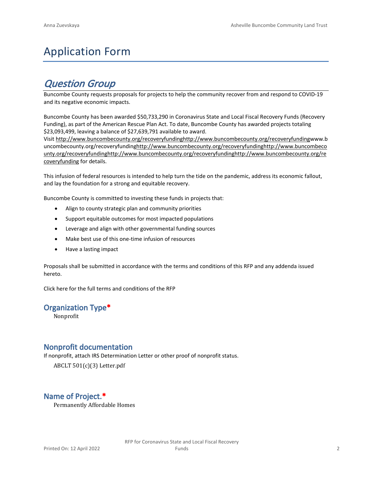## Application Form

## *Question Group*

Buncombe County requests proposals for projects to help the community recover from and respond to COVID-19 and its negative economic impacts.

Buncombe County has been awarded \$50,733,290 in Coronavirus State and Local Fiscal Recovery Funds (Recovery Funding), as part of the American Rescue Plan Act. To date, Buncombe County has awarded projects totaling \$23,093,499, leaving a balance of \$27,639,791 available to award.

Visit [http://www.buncombecounty.org/recoveryfundinghttp://www.buncombecounty.org/recoveryfundingwww.b](http://www.buncombecounty.org/recoveryfunding) [uncombecounty.org/recoveryfundinghttp://www.buncombecounty.org/recoveryfundinghttp://www.buncombeco](http://www.buncombecounty.org/recoveryfunding) [unty.org/recoveryfundinghttp://www.buncombecounty.org/recoveryfundinghttp://www.buncombecounty.org/re](http://www.buncombecounty.org/recoveryfunding) [coveryfunding](http://www.buncombecounty.org/recoveryfunding) for details.

This infusion of federal resources is intended to help turn the tide on the pandemic, address its economic fallout, and lay the foundation for a strong and equitable recovery.

Buncombe County is committed to investing these funds in projects that:

- Align to county strategic plan and community priorities
- Support equitable outcomes for most impacted populations
- Leverage and align with other governmental funding sources
- Make best use of this one-time infusion of resources
- Have a lasting impact

Proposals shall be submitted in accordance with the terms and conditions of this RFP and any addenda issued hereto.

Click [here](https://www.buncombecounty.org/common/purchasing/Buncombe%20Recovery%20Funding%20RFP%202022.pdf) for the full terms and conditions of the RFP

#### **Organization Type\***

Nonprofit

#### **Nonprofit documentation**

If nonprofit, attach IRS Determination Letter or other proof of nonprofit status.

ABCLT 501(c)(3) Letter.pdf

#### **Name of Project.\***

Permanently Affordable Homes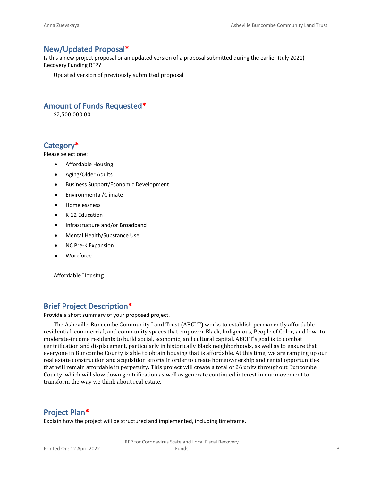#### **New/Updated Proposal\***

Is this a new project proposal or an updated version of a proposal submitted during the earlier (July 2021) Recovery Funding RFP?

Updated version of previously submitted proposal

#### **Amount of Funds Requested\***

\$2,500,000.00

#### **Category\***

Please select one:

- Affordable Housing
- Aging/Older Adults
- Business Support/Economic Development
- Environmental/Climate
- Homelessness
- K-12 Education
- Infrastructure and/or Broadband
- Mental Health/Substance Use
- NC Pre-K Expansion
- Workforce

Affordable Housing

#### **Brief Project Description\***

Provide a short summary of your proposed project.

The Asheville-Buncombe Community Land Trust (ABCLT) works to establish permanently affordable residential, commercial, and community spaces that empower Black, Indigenous, People of Color, and low- to moderate-income residents to build social, economic, and cultural capital. ABCLT's goal is to combat gentrification and displacement, particularly in historically Black neighborhoods, as well as to ensure that everyone in Buncombe County is able to obtain housing that is affordable. At this time, we are ramping up our real estate construction and acquisition efforts in order to create homeownership and rental opportunities that will remain affordable in perpetuity. This project will create a total of 26 units throughout Buncombe County, which will slow down gentrification as well as generate continued interest in our movement to transform the way we think about real estate.

#### **Project Plan\***

Explain how the project will be structured and implemented, including timeframe.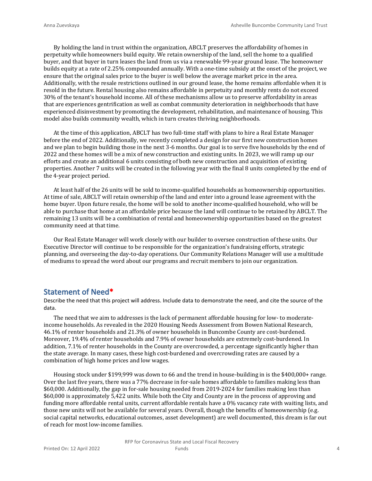By holding the land in trust within the organization, ABCLT preserves the affordability of homes in perpetuity while homeowners build equity. We retain ownership of the land, sell the home to a qualified buyer, and that buyer in turn leases the land from us via a renewable 99-year ground lease. The homeowner builds equity at a rate of 2.25% compounded annually. With a one-time subsidy at the onset of the project, we ensure that the original sales price to the buyer is well below the average market price in the area. Additionally, with the resale restrictions outlined in our ground lease, the home remains affordable when it is resold in the future. Rental housing also remains affordable in perpetuity and monthly rents do not exceed 30% of the tenant's household income. All of these mechanisms allow us to preserve affordability in areas that are experiences gentrification as well as combat community deterioration in neighborhoods that have experienced disinvestment by promoting the development, rehabilitation, and maintenance of housing. This model also builds community wealth, which in turn creates thriving neighborhoods.

At the time of this application, ABCLT has two full-time staff with plans to hire a Real Estate Manager before the end of 2022. Additionally, we recently completed a design for our first new construction homes and we plan to begin building those in the next 3-6 months. Our goal is to serve five households by the end of 2022 and these homes will be a mix of new construction and existing units. In 2023, we will ramp up our efforts and create an additional 6 units consisting of both new construction and acquisition of existing properties. Another 7 units will be created in the following year with the final 8 units completed by the end of the 4-year project period.

At least half of the 26 units will be sold to income-qualified households as homeownership opportunities. At time of sale, ABCLT will retain ownership of the land and enter into a ground lease agreement with the home buyer. Upon future resale, the home will be sold to another income-qualified household, who will be able to purchase that home at an affordable price because the land will continue to be retained by ABCLT. The remaining 13 units will be a combination of rental and homeownership opportunities based on the greatest community need at that time.

Our Real Estate Manager will work closely with our builder to oversee construction of these units. Our Executive Director will continue to be responsible for the organization's fundraising efforts, strategic planning, and overseeing the day-to-day operations. Our Community Relations Manager will use a multitude of mediums to spread the word about our programs and recruit members to join our organization.

#### **Statement of Need\***

Describe the need that this project will address. Include data to demonstrate the need, and cite the source of the data.

The need that we aim to addresses is the lack of permanent affordable housing for low- to moderateincome households. As revealed in the 2020 Housing Needs Assessment from Bowen National Research, 46.1% of renter households and 21.3% of owner households in Buncombe County are cost-burdened. Moreover, 19.4% of renter households and 7.9% of owner households are extremely cost-burdened. In addition, 7.1% of renter households in the County are overcrowded, a percentage significantly higher than the state average. In many cases, these high cost-burdened and overcrowding rates are caused by a combination of high home prices and low wages.

Housing stock under \$199,999 was down to 66 and the trend in house-building in is the \$400,000+ range. Over the last five years, there was a 77% decrease in for-sale homes affordable to families making less than \$60,000. Additionally, the gap in for-sale housing needed from 2019-2024 for families making less than \$60,000 is approximately 5,422 units. While both the City and County are in the process of approving and funding more affordable rental units, current affordable rentals have a 0% vacancy rate with waiting lists, and those new units will not be available for several years. Overall, though the benefits of homeownership (e.g. social capital networks, educational outcomes, asset development) are well documented, this dream is far out of reach for most low-income families.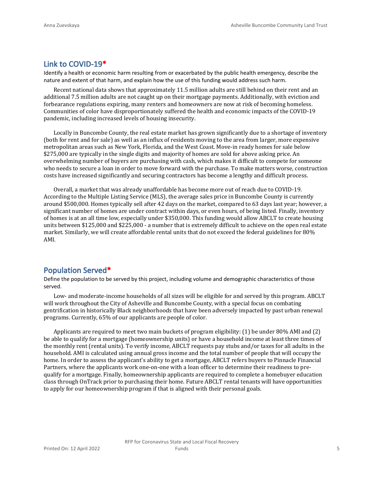#### **Link to COVID-19\***

Identify a health or economic harm resulting from or exacerbated by the public health emergency, describe the nature and extent of that harm, and explain how the use of this funding would address such harm.

Recent national data shows that approximately 11.5 million adults are still behind on their rent and an additional 7.5 million adults are not caught up on their mortgage payments. Additionally, with eviction and forbearance regulations expiring, many renters and homeowners are now at risk of becoming homeless. Communities of color have disproportionately suffered the health and economic impacts of the COVID-19 pandemic, including increased levels of housing insecurity.

Locally in Buncombe County, the real estate market has grown significantly due to a shortage of inventory (both for rent and for sale) as well as an influx of residents moving to the area from larger, more expensive metropolitan areas such as New York, Florida, and the West Coast. Move-in ready homes for sale below \$275,000 are typically in the single digits and majority of homes are sold for above asking price. An overwhelming number of buyers are purchasing with cash, which makes it difficult to compete for someone who needs to secure a loan in order to move forward with the purchase. To make matters worse, construction costs have increased significantly and securing contractors has become a lengthy and difficult process.

Overall, a market that was already unaffordable has become more out of reach due to COVID-19. According to the Multiple Listing Service (MLS), the average sales price in Buncombe County is currently around \$500,000. Homes typically sell after 42 days on the market, compared to 63 days last year; however, a significant number of homes are under contract within days, or even hours, of being listed. Finally, inventory of homes is at an all time low, especially under \$350,000. This funding would allow ABCLT to create housing units between \$125,000 and \$225,000 - a number that is extremely difficult to achieve on the open real estate market. Similarly, we will create affordable rental units that do not exceed the federal guidelines for 80% AMI.

#### **Population Served\***

Define the population to be served by this project, including volume and demographic characteristics of those served.

Low- and moderate-income households of all sizes will be eligible for and served by this program. ABCLT will work throughout the City of Asheville and Buncombe County, with a special focus on combating gentrification in historically Black neighborhoods that have been adversely impacted by past urban renewal programs. Currently, 65% of our applicants are people of color.

Applicants are required to meet two main buckets of program eligibility: (1) be under 80% AMI and (2) be able to qualify for a mortgage (homeownership units) or have a household income at least three times of the monthly rent (rental units). To verify income, ABCLT requests pay stubs and/or taxes for all adults in the household. AMI is calculated using annual gross income and the total number of people that will occupy the home. In order to assess the applicant's ability to get a mortgage, ABCLT refers buyers to Pinnacle Financial Partners, where the applicants work one-on-one with a loan officer to determine their readiness to prequalify for a mortgage. Finally, homeownership applicants are required to complete a homebuyer education class through OnTrack prior to purchasing their home. Future ABCLT rental tenants will have opportunities to apply for our homeownership program if that is aligned with their personal goals.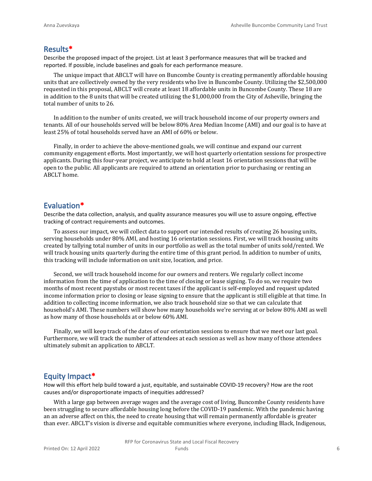#### **Results\***

Describe the proposed impact of the project. List at least 3 performance measures that will be tracked and reported. If possible, include baselines and goals for each performance measure.

The unique impact that ABCLT will have on Buncombe County is creating permanently affordable housing units that are collectively owned by the very residents who live in Buncombe County. Utilizing the \$2,500,000 requested in this proposal, ABCLT will create at least 18 affordable units in Buncombe County. These 18 are in addition to the 8 units that will be created utilizing the \$1,000,000 from the City of Asheville, bringing the total number of units to 26.

In addition to the number of units created, we will track household income of our property owners and tenants. All of our households served will be below 80% Area Median Income (AMI) and our goal is to have at least 25% of total households served have an AMI of 60% or below.

Finally, in order to achieve the above-mentioned goals, we will continue and expand our current community engagement efforts. Most importantly, we will host quarterly orientation sessions for prospective applicants. During this four-year project, we anticipate to hold at least 16 orientation sessions that will be open to the public. All applicants are required to attend an orientation prior to purchasing or renting an ABCLT home.

#### **Evaluation\***

Describe the data collection, analysis, and quality assurance measures you will use to assure ongoing, effective tracking of contract requirements and outcomes.

To assess our impact, we will collect data to support our intended results of creating 26 housing units, serving households under 80% AMI, and hosting 16 orientation sessions. First, we will track housing units created by tallying total number of units in our portfolio as well as the total number of units sold/rented. We will track housing units quarterly during the entire time of this grant period. In addition to number of units, this tracking will include information on unit size, location, and price.

Second, we will track household income for our owners and renters. We regularly collect income information from the time of application to the time of closing or lease signing. To do so, we require two months of most recent paystubs or most recent taxes if the applicant is self-employed and request updated income information prior to closing or lease signing to ensure that the applicant is still eligible at that time. In addition to collecting income information, we also track household size so that we can calculate that household's AMI. These numbers will show how many households we're serving at or below 80% AMI as well as how many of those households at or below 60% AMI.

Finally, we will keep track of the dates of our orientation sessions to ensure that we meet our last goal. Furthermore, we will track the number of attendees at each session as well as how many of those attendees ultimately submit an application to ABCLT.

#### **Equity Impact\***

How will this effort help build toward a just, equitable, and sustainable COVID-19 recovery? How are the root causes and/or disproportionate impacts of inequities addressed?

With a large gap between average wages and the average cost of living, Buncombe County residents have been struggling to secure affordable housing long before the COVID-19 pandemic. With the pandemic having an an adverse affect on this, the need to create housing that will remain permanently affordable is greater than ever. ABCLT's vision is diverse and equitable communities where everyone, including Black, Indigenous,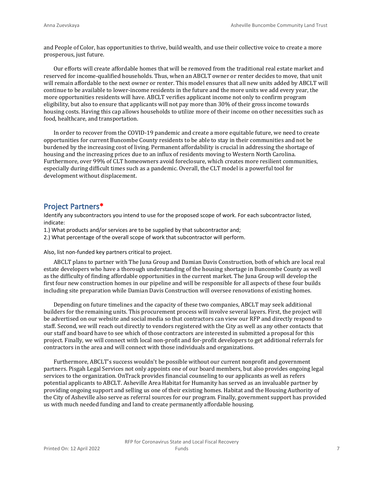and People of Color, has opportunities to thrive, build wealth, and use their collective voice to create a more prosperous, just future.

Our efforts will create affordable homes that will be removed from the traditional real estate market and reserved for income-qualified households. Thus, when an ABCLT owner or renter decides to move, that unit will remain affordable to the next owner or renter. This model ensures that all new units added by ABCLT will continue to be available to lower-income residents in the future and the more units we add every year, the more opportunities residents will have. ABCLT verifies applicant income not only to confirm program eligibility, but also to ensure that applicants will not pay more than 30% of their gross income towards housing costs. Having this cap allows households to utilize more of their income on other necessities such as food, healthcare, and transportation.

In order to recover from the COVID-19 pandemic and create a more equitable future, we need to create opportunities for current Buncombe County residents to be able to stay in their communities and not be burdened by the increasing cost of living. Permanent affordability is crucial in addressing the shortage of housing and the increasing prices due to an influx of residents moving to Western North Carolina. Furthermore, over 99% of CLT homeowners avoid foreclosure, which creates more resilient communities, especially during difficult times such as a pandemic. Overall, the CLT model is a powerful tool for development without displacement.

#### **Project Partners\***

Identify any subcontractors you intend to use for the proposed scope of work. For each subcontractor listed, indicate:

- 1.) What products and/or services are to be supplied by that subcontractor and;
- 2.) What percentage of the overall scope of work that subcontractor will perform.

Also, list non-funded key partners critical to project.

ABCLT plans to partner with The Juna Group and Damian Davis Construction, both of which are local real estate developers who have a thorough understanding of the housing shortage in Buncombe County as well as the difficulty of finding affordable opportunities in the current market. The Juna Group will develop the first four new construction homes in our pipeline and will be responsible for all aspects of these four builds including site preparation while Damian Davis Construction will oversee renovations of existing homes.

Depending on future timelines and the capacity of these two companies, ABCLT may seek additional builders for the remaining units. This procurement process will involve several layers. First, the project will be advertised on our website and social media so that contractors can view our RFP and directly respond to staff. Second, we will reach out directly to vendors registered with the City as well as any other contacts that our staff and board have to see which of those contractors are interested in submitted a proposal for this project. Finally, we will connect with local non-profit and for-profit developers to get additional referrals for contractors in the area and will connect with those individuals and organizations.

Furthermore, ABCLT's success wouldn't be possible without our current nonprofit and government partners. Pisgah Legal Services not only appoints one of our board members, but also provides ongoing legal services to the organization. OnTrack provides financial counseling to our applicants as well as refers potential applicants to ABCLT. Asheville Area Habitat for Humanity has served as an invaluable partner by providing ongoing support and selling us one of their existing homes. Habitat and the Housing Authority of the City of Asheville also serve as referral sources for our program. Finally, government support has provided us with much needed funding and land to create permanently affordable housing.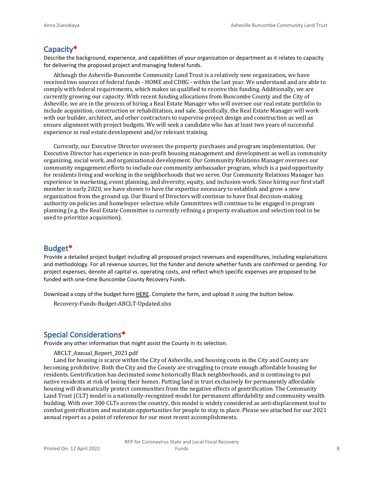#### **Capacity\***

Describe the background, experience, and capabilities of your organization or department as it relates to capacity for delivering the proposed project and managing federal funds.

Although the Asheville-Buncombe Community Land Trust is a relatively new organization, we have received two sources of federal funds - HOME and CDBG - within the last year. We understand and are able to comply with federal requirements, which makes us qualified to receive this funding. Additionally, we are currently growing our capacity. With recent funding allocations from Buncombe County and the City of Asheville, we are in the process of hiring a Real Estate Manager who will oversee our real estate portfolio to include acquisition, construction or rehabilitation, and sale. Specifically, the Real Estate Manager will work with our builder, architect, and other contractors to supervise project design and construction as well as ensure alignment with project budgets. We will seek a candidate who has at least two years of successful experience in real estate development and/or relevant training.

Currently, our Executive Director oversees the property purchases and program implementation. Our Executive Director has experience in non-profit housing management and development as well as community organizing, social work, and organizational development. Our Community Relations Manager oversees our community engagement efforts to include our community ambassador program, which is a paid opportunity for residents living and working in the neighborhoods that we serve. Our Community Relations Manager has experience in marketing, event planning, and diversity, equity, and inclusion work. Since hiring our first staff member in early 2020, we have shown to have the expertise necessary to establish and grow a new organization from the ground up. Our Board of Directors will continue to have final decision-making authority on policies and homebuyer selection while Committees will continue to be engaged in program planning (e.g. the Real Estate Committee is currently refining a property evaluation and selection tool to be used to prioritize acquisition).

#### **Budget\***

Provide a detailed project budget including all proposed project revenues and expenditures, including explanations and methodology. For all revenue sources, list the funder and denote whether funds are confirmed or pending. For project expenses, denote all capital vs. operating costs, and reflect which specific expenses are proposed to be funded with one-time Buncombe County Recovery Funds.

Download a copy of the budget form [HERE](https://buncombecounty.org/common/community-investment/grants/early-childhood-education/Recovery-Funds-budget-template.xlsx). Complete the form, and upload it using the button below.

Recovery-Funds-Budget-ABCLT-Updated.xlsx

#### **Special Considerations\***

Provide any other information that might assist the County in its selection.

ABCLT\_Annual\_Report\_2021.pdf

Land for housing is scarce within the City of Asheville, and housing costs in the City and County are becoming prohibitive. Both the City and the County are struggling to create enough affordable housing for residents. Gentrification has decimated some historically Black neighborhoods, and is continuing to put native residents at risk of losing their homes. Putting land in trust exclusively for permanently affordable housing will dramatically protect communities from the negative effects of gentrification. The Community Land Trust (CLT) model is a nationally-recognized model for permanent affordability and community wealth building. With over 300 CLTs across the country, this model is widely considered as anti-displacement tool to combat gentrification and maintain opportunities for people to stay in place. Please see attached for our 2021 annual report as a point of reference for our most recent accomplishments.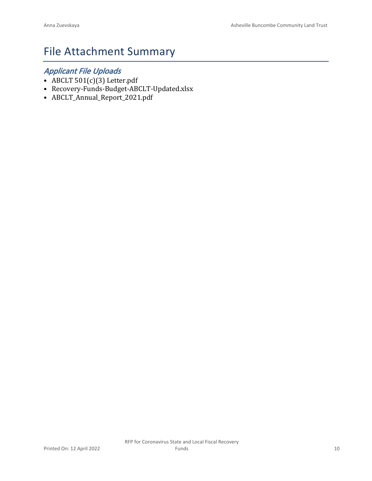## File Attachment Summary

### *Applicant File Uploads*

- ABCLT 501(c)(3) Letter.pdf
- Recovery-Funds-Budget-ABCLT-Updated.xlsx
- ABCLT\_Annual\_Report\_2021.pdf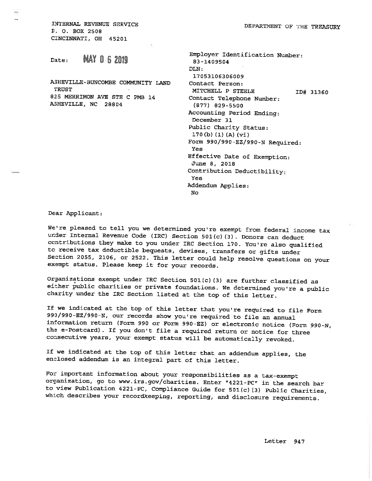INTERNAL REVENUE SERVICE P. O. BOX 2508 CINCINNATI, OH 45201

**MAY 0.6 2019** Date:

ASHEVILLE-BUNCOMBE COMMUNITY LAND **TRUST** 825 MERRIMON AVE STE C PMB 14 ASHEVILLE, NC 28804

| Employer Identification Number: |
|---------------------------------|
| 83-1409504                      |
| DIN:                            |
| 17053106306009                  |
| Contact Person:                 |
| MITCHELL P STEELE<br>ID# 31360  |
| Contact Telephone Number:       |
| (877) 829-5500                  |
| Accounting Period Ending:       |
| December 31                     |
| Public Charity Status:          |
| 170(b) (1) (A) (vi)             |
| Form 990/990-EZ/990-N Required: |
| Yes                             |
| Effective Date of Exemption:    |
| June 8, 2018                    |
| Contribution Deductibility;     |
| Yes                             |
| Addendum Applies:               |
| No                              |

Dear Applicant:

We're pleased to tell you we determined you're exempt from federal income tax under Internal Revenue Code (IRC) Section 501(c)(3). Donors can deduct contributions they make to you under IRC Section 170. You're also qualified to receive tax deductible bequests, devises, transfers or gifts under Section 2055, 2106, or 2522. This letter could help resolve questions on your exempt status. Please keep it for your records.

Organizations exempt under IRC Section 501(c)(3) are further classified as either public charities or private foundations. We determined you're a public charity under the IRC Section listed at the top of this letter.

If we indicated at the top of this letter that you're required to file Form 990/990-EZ/990-N, our records show you're required to file an annual information return (Form 990 or Form 990-EZ) or electronic notice (Form 990-N, the e-Postcard). If you don't file a required return or notice for three consecutive years, your exempt status will be automatically revoked.

If we indicated at the top of this letter that an addendum applies, the enclosed addendum is an integral part of this letter.

For important information about your responsibilities as a tax-exempt organization, go to www.irs.gov/charities. Enter "4221-PC" in the search bar to view Publication 4221-PC, Compliance Guide for  $501(c)$  (3) Public Charities, which describes your recordkeeping, reporting, and disclosure requirements.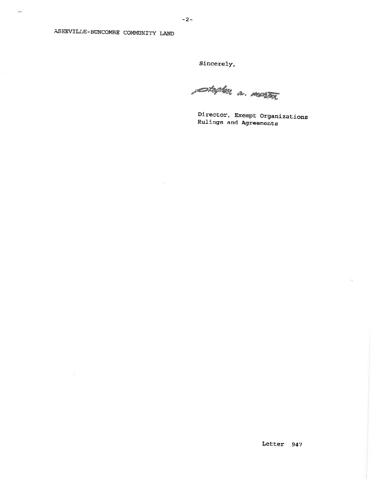$\sim$ 

Sincerely,

setylen a merton

Director, Exempt Organizations Rulings and Agreements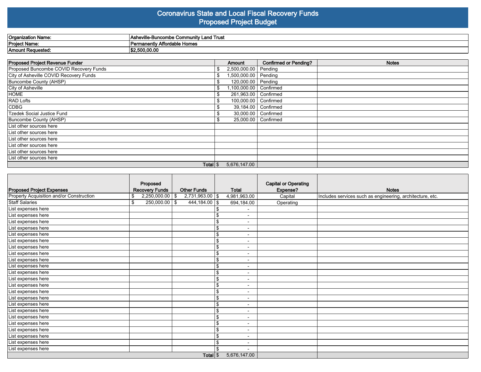#### **Coronavirus State and Local Fiscal Recovery Funds Proposed Project Budget**

| Organization Name: | . ∟and Trust<br>"-Buncombe Commun"<br>шv<br>וכהו |
|--------------------|--------------------------------------------------|
| Project Name:      | Affordable Homes<br>`Permanentiv A.              |
| Amount Requested.  | \$2,500,00.00                                    |

| Proposed Project Revenue Funder        |    | Amount                 | <b>Confirmed or Pending?</b> | <b>Notes</b> |
|----------------------------------------|----|------------------------|------------------------------|--------------|
| Proposed Buncombe COVID Recovery Funds |    | 2,500,000.00           | Pending                      |              |
| City of Asheville COVID Recovery Funds | \$ | 1,500,000.00 Pending   |                              |              |
| Buncombe County (AHSP)                 |    | 120,000.00   Pending   |                              |              |
| City of Asheville                      |    | ,100,000.00            | Confirmed                    |              |
| <b>HOME</b>                            | S  | 261,963.00   Confirmed |                              |              |
| <b>RAD Lofts</b>                       |    | 100,000.00   Confirmed |                              |              |
| CDBG                                   |    | 39,184.00              | Confirmed                    |              |
| Tzedek Social Justice Fund             |    |                        | 30,000.00   Confirmed        |              |
| Buncombe County (AHSP)                 | \$ | 25,000.00              | Confirmed                    |              |
| List other sources here                |    |                        |                              |              |
| List other sources here                |    |                        |                              |              |
| List other sources here                |    |                        |                              |              |
| List other sources here                |    |                        |                              |              |
| List other sources here                |    |                        |                              |              |
| List other sources here                |    |                        |                              |              |
| Total $\frac{1}{3}$                    |    | 5,676,147.00           |                              |              |

|                                          | Proposed              |                     |                    |                |                          | <b>Capital or Operating</b> |                                                           |
|------------------------------------------|-----------------------|---------------------|--------------------|----------------|--------------------------|-----------------------------|-----------------------------------------------------------|
| <b>Proposed Project Expenses</b>         | <b>Recovery Funds</b> |                     | <b>Other Funds</b> |                | <b>Total</b>             | Expense?                    | <b>Notes</b>                                              |
| Property Acquisition and/or Construction | \$                    | $2,250,000.00$ \ \$ | 2,731,963.00 \$    |                | 4,981,963.00             | Capital                     | Includes services such as engineering, architecture, etc. |
| <b>Staff Salaries</b>                    | \$                    | $250,000.00$ \$     | $444,184.00$ \$    |                | 694,184.00               | Operating                   |                                                           |
| List expenses here                       |                       |                     |                    |                |                          |                             |                                                           |
| List expenses here                       |                       |                     |                    | \$             | $\overline{\phantom{a}}$ |                             |                                                           |
| List expenses here                       |                       |                     |                    | \$             | $\blacksquare$           |                             |                                                           |
| List expenses here                       |                       |                     |                    | \$             | $\blacksquare$           |                             |                                                           |
| List expenses here                       |                       |                     |                    | \$             | $\overline{\phantom{0}}$ |                             |                                                           |
| List expenses here                       |                       |                     |                    | \$             | $\blacksquare$           |                             |                                                           |
| List expenses here                       |                       |                     |                    | \$             |                          |                             |                                                           |
| List expenses here                       |                       |                     |                    | \$             | $\overline{\phantom{0}}$ |                             |                                                           |
| List expenses here                       |                       |                     |                    | \$             |                          |                             |                                                           |
| List expenses here                       |                       |                     |                    | \$             | $\overline{\phantom{a}}$ |                             |                                                           |
| List expenses here                       |                       |                     |                    | \$             | $\overline{\phantom{a}}$ |                             |                                                           |
| List expenses here                       |                       |                     |                    | $\mathfrak{L}$ | $\overline{\phantom{a}}$ |                             |                                                           |
| List expenses here                       |                       |                     |                    | \$             |                          |                             |                                                           |
| List expenses here                       |                       |                     |                    | \$             |                          |                             |                                                           |
| List expenses here                       |                       |                     |                    | \$             | $\overline{\phantom{a}}$ |                             |                                                           |
| List expenses here                       |                       |                     |                    | \$             | $\overline{\phantom{0}}$ |                             |                                                           |
| List expenses here                       |                       |                     |                    | \$             | $\blacksquare$           |                             |                                                           |
| List expenses here                       |                       |                     |                    | \$             | $\overline{\phantom{0}}$ |                             |                                                           |
| List expenses here                       |                       |                     |                    | \$             |                          |                             |                                                           |
| List expenses here                       |                       |                     |                    | \$             |                          |                             |                                                           |
| List expenses here                       |                       |                     |                    | \$             | $\overline{\phantom{a}}$ |                             |                                                           |
| List expenses here                       |                       |                     |                    | \$             | $\blacksquare$           |                             |                                                           |
| List expenses here                       |                       |                     |                    |                |                          |                             |                                                           |
|                                          |                       | Total $\frac{1}{3}$ |                    | 5,676,147.00   |                          |                             |                                                           |